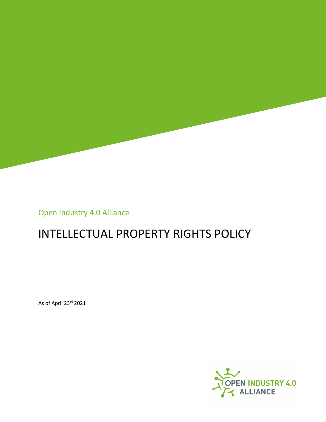

Open Industry 4.0 Alliance

# INTELLECTUAL PROPERTY RIGHTS POLICY

As of April 23rd 2021

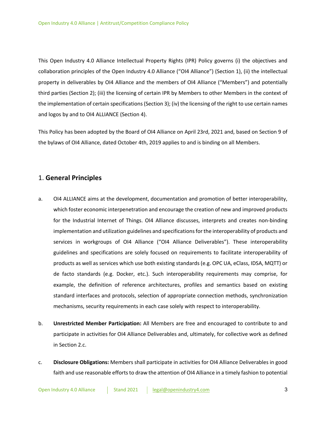This Open Industry 4.0 Alliance Intellectual Property Rights (IPR) Policy governs (i) the objectives and collaboration principles of the Open Industry 4.0 Alliance ("OI4 Alliance") (Section 1), (ii) the intellectual property in deliverables by OI4 Alliance and the members of OI4 Alliance ("Members") and potentially third parties (Section 2); (iii) the licensing of certain IPR by Members to other Members in the context of the implementation of certain specifications (Section 3); (iv) the licensing of the right to use certain names and logos by and to OI4 ALLIANCE (Section 4).

This Policy has been adopted by the Board of OI4 Alliance on April 23rd, 2021 and, based on Section 9 of the bylaws of OI4 Alliance, dated October 4th, 2019 applies to and is binding on all Members.

# 1. **General Principles**

- a. OI4 ALLIANCE aims at the development, documentation and promotion of better interoperability, which foster economic interpenetration and encourage the creation of new and improved products for the Industrial Internet of Things. OI4 Alliance discusses, interprets and creates non-binding implementation and utilization guidelines and specifications for the interoperability of products and services in workgroups of OI4 Alliance ("OI4 Alliance Deliverables"). These interoperability guidelines and specifications are solely focused on requirements to facilitate interoperability of products as well as services which use both existing standards (e.g. OPC UA, eClass, IDSA, MQTT) or de facto standards (e.g. Docker, etc.). Such interoperability requirements may comprise, for example, the definition of reference architectures, profiles and semantics based on existing standard interfaces and protocols, selection of appropriate connection methods, synchronization mechanisms, security requirements in each case solely with respect to interoperability.
- b. **Unrestricted Member Participation:** All Members are free and encouraged to contribute to and participate in activities for OI4 Alliance Deliverables and, ultimately, for collective work as defined in Section 2.c.
- c. **Disclosure Obligations:** Members shall participate in activities for OI4 Alliance Deliverables in good faith and use reasonable efforts to draw the attention of OI4 Alliance in a timely fashion to potential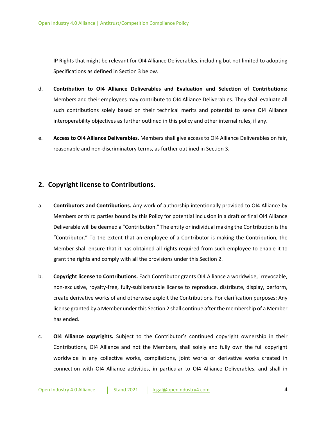IP Rights that might be relevant for OI4 Alliance Deliverables, including but not limited to adopting Specifications as defined in Section 3 below.

- d. **Contribution to OI4 Alliance Deliverables and Evaluation and Selection of Contributions:** Members and their employees may contribute to OI4 Alliance Deliverables. They shall evaluate all such contributions solely based on their technical merits and potential to serve OI4 Alliance interoperability objectives as further outlined in this policy and other internal rules, if any.
- e. **Access to OI4 Alliance Deliverables.** Members shall give access to OI4 Alliance Deliverables on fair, reasonable and non-discriminatory terms, as further outlined in Section 3.

# **2. Copyright license to Contributions.**

- a. **Contributors and Contributions.** Any work of authorship intentionally provided to OI4 Alliance by Members or third parties bound by this Policy for potential inclusion in a draft or final OI4 Alliance Deliverable will be deemed a "Contribution." The entity or individual making the Contribution is the "Contributor." To the extent that an employee of a Contributor is making the Contribution, the Member shall ensure that it has obtained all rights required from such employee to enable it to grant the rights and comply with all the provisions under this Section 2.
- b. **Copyright license to Contributions.** Each Contributor grants OI4 Alliance a worldwide, irrevocable, non-exclusive, royalty-free, fully-sublicensable license to reproduce, distribute, display, perform, create derivative works of and otherwise exploit the Contributions. For clarification purposes: Any license granted by a Member under this Section 2 shall continue after the membership of a Member has ended.
- c. **OI4 Alliance copyrights.** Subject to the Contributor's continued copyright ownership in their Contributions, OI4 Alliance and not the Members, shall solely and fully own the full copyright worldwide in any collective works, compilations, joint works or derivative works created in connection with OI4 Alliance activities, in particular to OI4 Alliance Deliverables, and shall in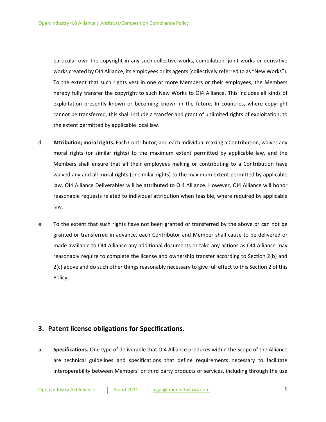particular own the copyright in any such collective works, compilation, joint works or derivative works created by OI4 Alliance, its employees or its agents (collectively referred to as "New Works"). To the extent that such rights vest in one or more Members or their employees, the Members hereby fully transfer the copyright to such New Works to OI4 Alliance. This includes all kinds of exploitation presently known or becoming known in the future. In countries, where copyright cannot be transferred, this shall include a transfer and grant of unlimited rights of exploitation, to the extent permitted by applicable local law.

- d. **Attribution; moral rights.** Each Contributor, and each individual making a Contribution, waives any moral rights (or similar rights) to the maximum extent permitted by applicable law, and the Members shall ensure that all their employees making or contributing to a Contribution have waived any and all moral rights (or similar rights) to the maximum extent permitted by applicable law. OI4 Alliance Deliverables will be attributed to OI4 Alliance. However, OI4 Alliance will honor reasonable requests related to individual attribution when feasible, where required by applicable law.
- e. To the extent that such rights have not been granted or transferred by the above or can not be granted or transferred in advance, each Contributor and Member shall cause to be delivered or made available to OI4 Alliance any additional documents or take any actions as OI4 Alliance may reasonably require to complete the license and ownership transfer according to Section 2(b) and 2(c) above and do such other things reasonably necessary to give full effect to this Section 2 of this Policy.

#### **3. Patent license obligations for Specifications.**

a. **Specifications.** One type of deliverable that OI4 Alliance produces within the Scope of the Alliance are technical guidelines and specifications that define requirements necessary to facilitate interoperability between Members' or third party products or services, including through the use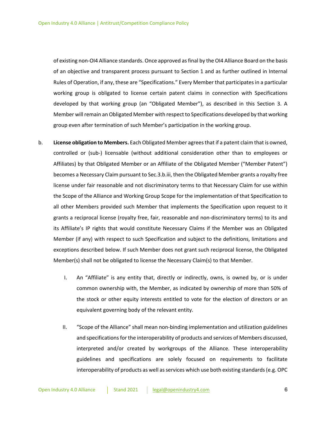of existing non-OI4 Alliance standards. Once approved as final by the OI4 Alliance Board on the basis of an objective and transparent process pursuant to Section 1 and as further outlined in Internal Rules of Operation, if any, these are "Specifications." Every Member that participates in a particular working group is obligated to license certain patent claims in connection with Specifications developed by that working group (an "Obligated Member"), as described in this Section 3. A Member will remain an Obligated Member with respect to Specifications developed by that working group even after termination of such Member's participation in the working group.

- b. **License obligation to Members.** Each Obligated Member agrees that if a patent claim that is owned, controlled or (sub-) licensable (without additional consideration other than to employees or Affiliates) by that Obligated Member or an Affiliate of the Obligated Member ("Member Patent") becomes a Necessary Claim pursuant to Sec.3.b.iii, then the Obligated Member grants a royalty free license under fair reasonable and not discriminatory terms to that Necessary Claim for use within the Scope of the Alliance and Working Group Scope for the implementation of that Specification to all other Members provided such Member that implements the Specification upon request to it grants a reciprocal license (royalty free, fair, reasonable and non-discriminatory terms) to its and its Affiliate's IP rights that would constitute Necessary Claims if the Member was an Obligated Member (if any) with respect to such Specification and subject to the definitions, limitations and exceptions described below. If such Member does not grant such reciprocal license, the Obligated Member(s) shall not be obligated to license the Necessary Claim(s) to that Member.
	- I. An "Affiliate" is any entity that, directly or indirectly, owns, is owned by, or is under common ownership with, the Member, as indicated by ownership of more than 50% of the stock or other equity interests entitled to vote for the election of directors or an equivalent governing body of the relevant entity.
	- II. "Scope of the Alliance" shall mean non-binding implementation and utilization guidelines and specifications for the interoperability of products and services of Members discussed, interpreted and/or created by workgroups of the Alliance. These interoperability guidelines and specifications are solely focused on requirements to facilitate interoperability of products as well as services which use both existing standards (e.g. OPC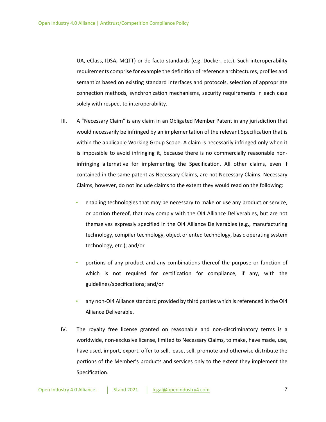UA, eClass, IDSA, MQTT) or de facto standards (e.g. Docker, etc.). Such interoperability requirements comprise for example the definition of reference architectures, profiles and semantics based on existing standard interfaces and protocols, selection of appropriate connection methods, synchronization mechanisms, security requirements in each case solely with respect to interoperability.

- III. A "Necessary Claim" is any claim in an Obligated Member Patent in any jurisdiction that would necessarily be infringed by an implementation of the relevant Specification that is within the applicable Working Group Scope. A claim is necessarily infringed only when it is impossible to avoid infringing it, because there is no commercially reasonable noninfringing alternative for implementing the Specification. All other claims, even if contained in the same patent as Necessary Claims, are not Necessary Claims. Necessary Claims, however, do not include claims to the extent they would read on the following:
	- enabling technologies that may be necessary to make or use any product or service, or portion thereof, that may comply with the OI4 Alliance Deliverables, but are not themselves expressly specified in the OI4 Alliance Deliverables (e.g., manufacturing technology, compiler technology, object oriented technology, basic operating system technology, etc.); and/or
	- portions of any product and any combinations thereof the purpose or function of which is not required for certification for compliance, if any, with the guidelines/specifications; and/or
	- any non-OI4 Alliance standard provided by third parties which is referenced in the OI4 Alliance Deliverable.
- IV. The royalty free license granted on reasonable and non-discriminatory terms is a worldwide, non-exclusive license, limited to Necessary Claims, to make, have made, use, have used, import, export, offer to sell, lease, sell, promote and otherwise distribute the portions of the Member's products and services only to the extent they implement the Specification.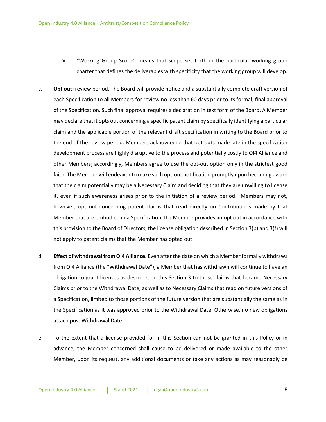- V. "Working Group Scope" means that scope set forth in the particular working group charter that defines the deliverables with specificity that the working group will develop.
- c. **Opt out;** review period. The Board will provide notice and a substantially complete draft version of each Specification to all Members for review no less than 60 days prior to its formal, final approval of the Specification. Such final approval requires a declaration in text form of the Board. A Member may declare that it opts out concerning a specific patent claim by specifically identifying a particular claim and the applicable portion of the relevant draft specification in writing to the Board prior to the end of the review period. Members acknowledge that opt-outs made late in the specification development process are highly disruptive to the process and potentially costly to OI4 Alliance and other Members; accordingly, Members agree to use the opt-out option only in the strictest good faith. The Member will endeavor to make such opt-out notification promptly upon becoming aware that the claim potentially may be a Necessary Claim and deciding that they are unwilling to license it, even if such awareness arises prior to the initiation of a review period. Members may not, however, opt out concerning patent claims that read directly on Contributions made by that Member that are embodied in a Specification. If a Member provides an opt out in accordance with this provision to the Board of Directors, the license obligation described in Section 3(b) and 3(f) will not apply to patent claims that the Member has opted out.
- d. **Effect of withdrawal from OI4 Alliance.** Even after the date on which a Member formally withdraws from OI4 Alliance (the "Withdrawal Date"), a Member that has withdrawn will continue to have an obligation to grant licenses as described in this Section 3 to those claims that became Necessary Claims prior to the Withdrawal Date, as well as to Necessary Claims that read on future versions of a Specification, limited to those portions of the future version that are substantially the same as in the Specification as it was approved prior to the Withdrawal Date. Otherwise, no new obligations attach post Withdrawal Date.
- e. To the extent that a license provided for in this Section can not be granted in this Policy or in advance, the Member concerned shall cause to be delivered or made available to the other Member, upon its request, any additional documents or take any actions as may reasonably be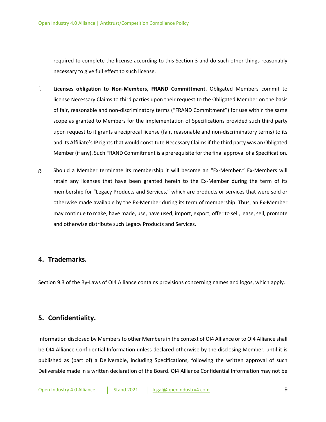required to complete the license according to this Section 3 and do such other things reasonably necessary to give full effect to such license.

- f. **Licenses obligation to Non-Members, FRAND Committment.** Obligated Members commit to license Necessary Claims to third parties upon their request to the Obligated Member on the basis of fair, reasonable and non-discriminatory terms ("FRAND Commitment") for use within the same scope as granted to Members for the implementation of Specifications provided such third party upon request to it grants a reciprocal license (fair, reasonable and non-discriminatory terms) to its and its Affiliate's IP rights that would constitute Necessary Claims if the third party was an Obligated Member (if any). Such FRAND Commitment is a prerequisite for the final approval of a Specification.
- g. Should a Member terminate its membership it will become an "Ex-Member." Ex-Members will retain any licenses that have been granted herein to the Ex-Member during the term of its membership for "Legacy Products and Services," which are products or services that were sold or otherwise made available by the Ex-Member during its term of membership. Thus, an Ex-Member may continue to make, have made, use, have used, import, export, offer to sell, lease, sell, promote and otherwise distribute such Legacy Products and Services.

#### **4. Trademarks.**

Section 9.3 of the By-Laws of OI4 Alliance contains provisions concerning names and logos, which apply.

# **5. Confidentiality.**

Information disclosed by Members to other Members in the context of OI4 Alliance or to OI4 Alliance shall be OI4 Alliance Confidential Information unless declared otherwise by the disclosing Member, until it is published as (part of) a Deliverable, including Specifications, following the written approval of such Deliverable made in a written declaration of the Board. OI4 Alliance Confidential Information may not be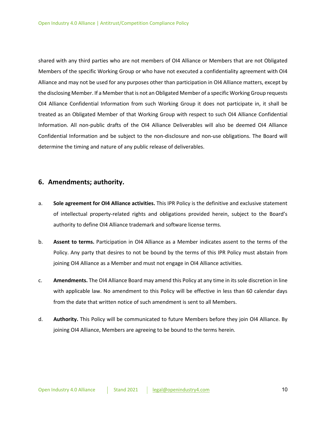shared with any third parties who are not members of OI4 Alliance or Members that are not Obligated Members of the specific Working Group or who have not executed a confidentiality agreement with OI4 Alliance and may not be used for any purposes other than participation in OI4 Alliance matters, except by the disclosing Member. If a Member that is not an Obligated Member of a specific Working Group requests OI4 Alliance Confidential Information from such Working Group it does not participate in, it shall be treated as an Obligated Member of that Working Group with respect to such OI4 Alliance Confidential Information. All non-public drafts of the OI4 Alliance Deliverables will also be deemed OI4 Alliance Confidential Information and be subject to the non-disclosure and non-use obligations. The Board will determine the timing and nature of any public release of deliverables.

#### **6. Amendments; authority.**

- a. **Sole agreement for OI4 Alliance activities.** This IPR Policy is the definitive and exclusive statement of intellectual property-related rights and obligations provided herein, subject to the Board's authority to define OI4 Alliance trademark and software license terms.
- b. **Assent to terms.** Participation in OI4 Alliance as a Member indicates assent to the terms of the Policy. Any party that desires to not be bound by the terms of this IPR Policy must abstain from joining OI4 Alliance as a Member and must not engage in OI4 Alliance activities.
- c. **Amendments.** The OI4 Alliance Board may amend this Policy at any time in its sole discretion in line with applicable law. No amendment to this Policy will be effective in less than 60 calendar days from the date that written notice of such amendment is sent to all Members.
- d. **Authority.** This Policy will be communicated to future Members before they join OI4 Alliance. By joining OI4 Alliance, Members are agreeing to be bound to the terms herein.